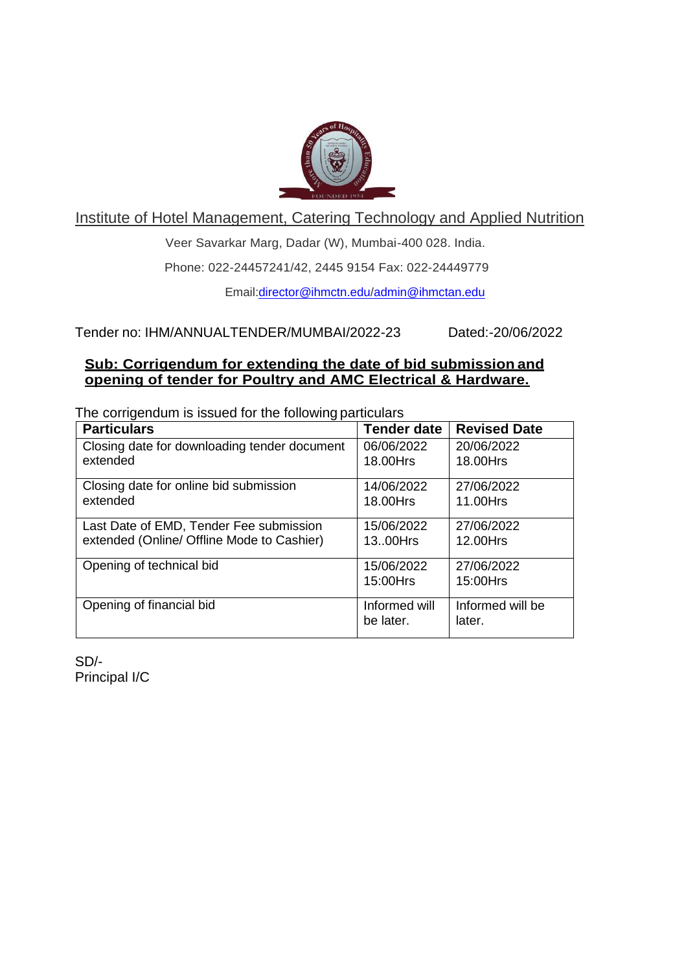

Institute of Hotel Management, Catering Technology and Applied Nutrition

Veer Savarkar Marg, Dadar (W), Mumbai-400 028. India.

Phone: 022-24457241/42, 2445 9154 Fax: 022-24449779

Email:director@ihmctn.edu/admin@ihmctan.edu

Tender no: IHM/ANNUALTENDER/MUMBAI/2022-23 Dated:-20/06/2022

## **Sub: Corrigendum for extending the date of bid submission and opening of tender for Poultry and AMC Electrical & Hardware.**

The corrigendum is issued for the following particulars

| <b>Particulars</b>                           | <b>Tender date</b> | <b>Revised Date</b> |
|----------------------------------------------|--------------------|---------------------|
| Closing date for downloading tender document | 06/06/2022         | 20/06/2022          |
| extended                                     | 18.00Hrs           | 18.00Hrs            |
| Closing date for online bid submission       | 14/06/2022         | 27/06/2022          |
| extended                                     | 18.00Hrs           | 11.00Hrs            |
| Last Date of EMD, Tender Fee submission      | 15/06/2022         | 27/06/2022          |
| extended (Online/ Offline Mode to Cashier)   | 13.00Hrs           | 12.00Hrs            |
| Opening of technical bid                     | 15/06/2022         | 27/06/2022          |
|                                              | 15:00Hrs           | 15:00Hrs            |
| Opening of financial bid                     | Informed will      | Informed will be    |
|                                              | be later.          | later.              |

SD/- Principal I/C